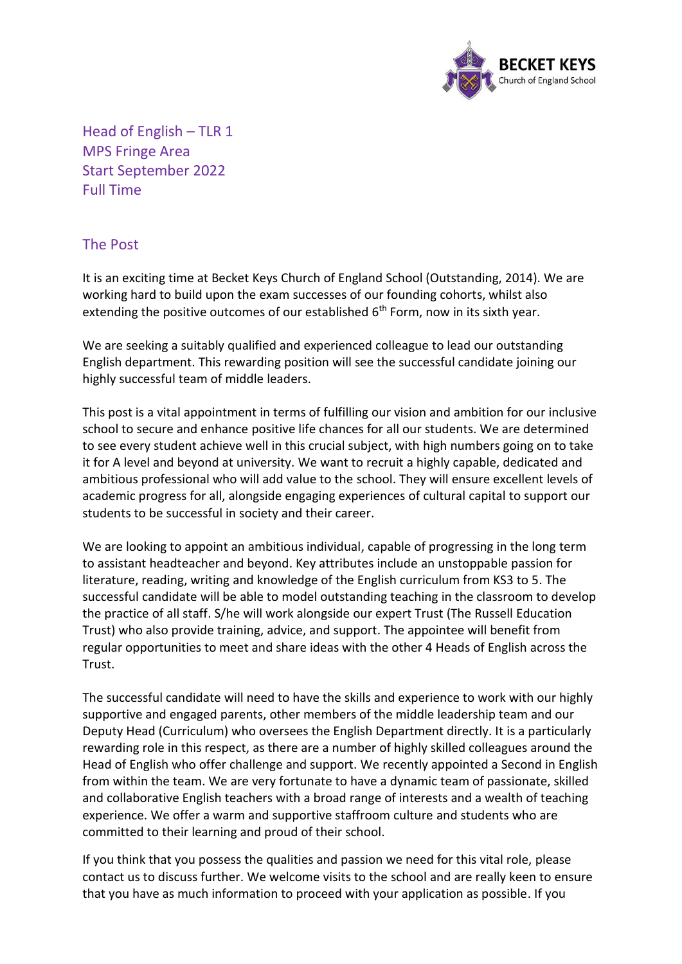

Head of English – TLR 1 MPS Fringe Area Start September 2022 Full Time

## The Post

It is an exciting time at Becket Keys Church of England School (Outstanding, 2014). We are working hard to build upon the exam successes of our founding cohorts, whilst also extending the positive outcomes of our established 6<sup>th</sup> Form, now in its sixth year.

We are seeking a suitably qualified and experienced colleague to lead our outstanding English department. This rewarding position will see the successful candidate joining our highly successful team of middle leaders.

This post is a vital appointment in terms of fulfilling our vision and ambition for our inclusive school to secure and enhance positive life chances for all our students. We are determined to see every student achieve well in this crucial subject, with high numbers going on to take it for A level and beyond at university. We want to recruit a highly capable, dedicated and ambitious professional who will add value to the school. They will ensure excellent levels of academic progress for all, alongside engaging experiences of cultural capital to support our students to be successful in society and their career.

We are looking to appoint an ambitious individual, capable of progressing in the long term to assistant headteacher and beyond. Key attributes include an unstoppable passion for literature, reading, writing and knowledge of the English curriculum from KS3 to 5. The successful candidate will be able to model outstanding teaching in the classroom to develop the practice of all staff. S/he will work alongside our expert Trust (The Russell Education Trust) who also provide training, advice, and support. The appointee will benefit from regular opportunities to meet and share ideas with the other 4 Heads of English across the Trust.

The successful candidate will need to have the skills and experience to work with our highly supportive and engaged parents, other members of the middle leadership team and our Deputy Head (Curriculum) who oversees the English Department directly. It is a particularly rewarding role in this respect, as there are a number of highly skilled colleagues around the Head of English who offer challenge and support. We recently appointed a Second in English from within the team. We are very fortunate to have a dynamic team of passionate, skilled and collaborative English teachers with a broad range of interests and a wealth of teaching experience. We offer a warm and supportive staffroom culture and students who are committed to their learning and proud of their school.

If you think that you possess the qualities and passion we need for this vital role, please contact us to discuss further. We welcome visits to the school and are really keen to ensure that you have as much information to proceed with your application as possible. If you